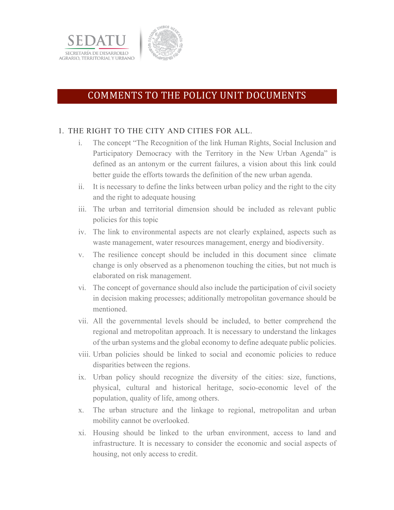



# COMMENTS TO THE POLICY UNIT DOCUMENTS

### 1. THE RIGHT TO THE CITY AND CITIES FOR ALL.

- i. The concept "The Recognition of the link Human Rights, Social Inclusion and Participatory Democracy with the Territory in the New Urban Agenda" is defined as an antonym or the current failures, a vision about this link could better guide the efforts towards the definition of the new urban agenda.
- ii. It is necessary to define the links between urban policy and the right to the city and the right to adequate housing
- iii. The urban and territorial dimension should be included as relevant public policies for this topic
- iv. The link to environmental aspects are not clearly explained, aspects such as waste management, water resources management, energy and biodiversity.
- v. The resilience concept should be included in this document since climate change is only observed as a phenomenon touching the cities, but not much is elaborated on risk management.
- vi. The concept of governance should also include the participation of civil society in decision making processes; additionally metropolitan governance should be mentioned.
- vii. All the governmental levels should be included, to better comprehend the regional and metropolitan approach. It is necessary to understand the linkages of the urban systems and the global economy to define adequate public policies.
- viii. Urban policies should be linked to social and economic policies to reduce disparities between the regions.
- ix. Urban policy should recognize the diversity of the cities: size, functions, physical, cultural and historical heritage, socio-economic level of the population, quality of life, among others.
- x. The urban structure and the linkage to regional, metropolitan and urban mobility cannot be overlooked.
- xi. Housing should be linked to the urban environment, access to land and infrastructure. It is necessary to consider the economic and social aspects of housing, not only access to credit.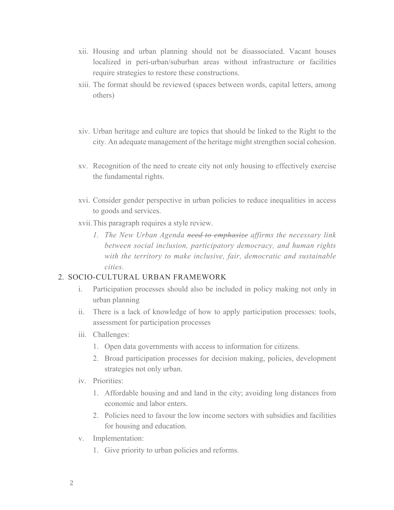- xii. Housing and urban planning should not be disassociated. Vacant houses localized in peri-urban/suburban areas without infrastructure or facilities require strategies to restore these constructions.
- xiii. The format should be reviewed (spaces between words, capital letters, among others)
- xiv. Urban heritage and culture are topics that should be linked to the Right to the city. An adequate management of the heritage might strengthen social cohesion.
- xv. Recognition of the need to create city not only housing to effectively exercise the fundamental rights.
- xvi. Consider gender perspective in urban policies to reduce inequalities in access to goods and services.
- xvii.This paragraph requires a style review.
	- *1. The New Urban Agenda need to emphasize affirms the necessary link between social inclusion, participatory democracy, and human rights with the territory to make inclusive, fair, democratic and sustainable cities.*

#### 2. SOCIO-CULTURAL URBAN FRAMEWORK

- i. Participation processes should also be included in policy making not only in urban planning
- ii. There is a lack of knowledge of how to apply participation processes: tools, assessment for participation processes
- iii. Challenges:
	- 1. Open data governments with access to information for citizens.
	- 2. Broad participation processes for decision making, policies, development strategies not only urban.
- iv. Priorities:
	- 1. Affordable housing and and land in the city; avoiding long distances from economic and labor enters.
	- 2. Policies need to favour the low income sectors with subsidies and facilities for housing and education.
- v. Implementation:
	- 1. Give priority to urban policies and reforms.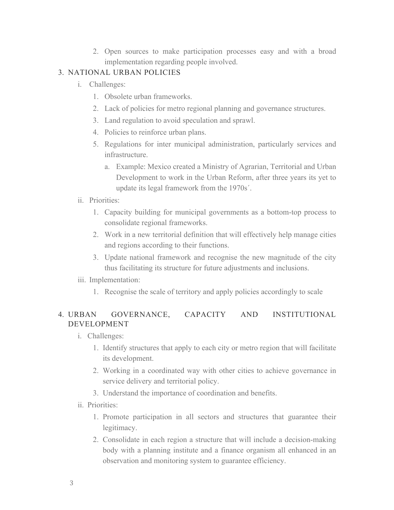2. Open sources to make participation processes easy and with a broad implementation regarding people involved.

### 3. NATIONAL URBAN POLICIES

- i. Challenges:
	- 1. Obsolete urban frameworks.
	- 2. Lack of policies for metro regional planning and governance structures.
	- 3. Land regulation to avoid speculation and sprawl.
	- 4. Policies to reinforce urban plans.
	- 5. Regulations for inter municipal administration, particularly services and infrastructure.
		- a. Example: Mexico created a Ministry of Agrarian, Territorial and Urban Development to work in the Urban Reform, after three years its yet to update its legal framework from the 1970s´.
- ii. Priorities:
	- 1. Capacity building for municipal governments as a bottom-top process to consolidate regional frameworks.
	- 2. Work in a new territorial definition that will effectively help manage cities and regions according to their functions.
	- 3. Update national framework and recognise the new magnitude of the city thus facilitating its structure for future adjustments and inclusions.
- iii. Implementation:
	- 1. Recognise the scale of territory and apply policies accordingly to scale

# 4. URBAN GOVERNANCE, CAPACITY AND INSTITUTIONAL DEVELOPMENT

- i. Challenges:
	- 1. Identify structures that apply to each city or metro region that will facilitate its development.
	- 2. Working in a coordinated way with other cities to achieve governance in service delivery and territorial policy.
	- 3. Understand the importance of coordination and benefits.
- ii. Priorities:
	- 1. Promote participation in all sectors and structures that guarantee their legitimacy.
	- 2. Consolidate in each region a structure that will include a decision-making body with a planning institute and a finance organism all enhanced in an observation and monitoring system to guarantee efficiency.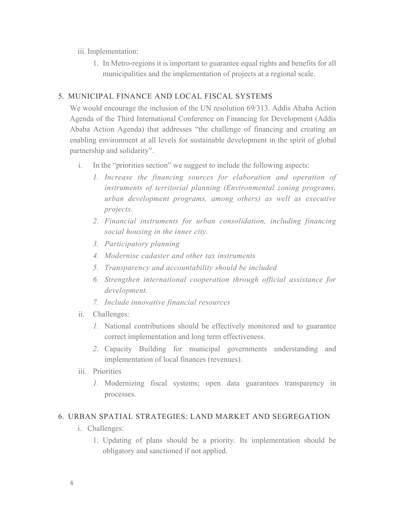### iii. Implementation:

1. In Metro-regions it is important to guarantee equal rights and benefits for all municipalities and the implementation of projects at a regional scale.

### 5. MUNICIPAL FINANCE AND LOCAL FISCAL SYSTEMS

We would encourage the inclusion of the UN resolution 69/313. Addis Ababa Action Agenda of the Third International Conference on Financing for Development (Addis Ababa Action Agenda) that addresses "the challenge of financing and creating an enabling environment at all levels for sustainable development in the spirit of global partnership and solidarity".

- i. In the "priorities section" we suggest to include the following aspects:
	- *1. Increase the financing sources for elaboration and operation of instruments of territorial planning (Environmental zoning programs, urban development programs, among others) as well as executive projects.*
	- *2. Financial instruments for urban consolidation, including financing social housing in the inner city.*
	- *3. Participatory planning*
	- *4. Modernise cadaster and other tax instruments*
	- *5. Transparency and accountability should be included*
	- *6. Strengthen international cooperation through official assistance for development.*
	- *7. Include innovative financial resources*
- ii. Challenges:
	- *1.* National contributions should be effectively monitored and to guarantee correct implementation and long term effectiveness.
	- *2.* Capacity Building for municipal governments understanding and implementation of local finances (revenues).
- iii. Priorities
	- *1.* Modernizing fiscal systems; open data guarantees transparency in processes.

## 6. URBAN SPATIAL STRATEGIES: LAND MARKET AND SEGREGATION

- i. Challenges:
	- 1. Updating of plans should be a priority. Its implementation should be obligatory and sanctioned if not applied.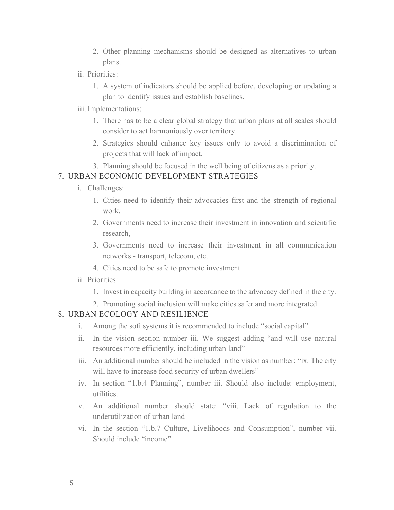- 2. Other planning mechanisms should be designed as alternatives to urban plans.
- ii. Priorities:
	- 1. A system of indicators should be applied before, developing or updating a plan to identify issues and establish baselines.
- iii. Implementations:
	- 1. There has to be a clear global strategy that urban plans at all scales should consider to act harmoniously over territory.
	- 2. Strategies should enhance key issues only to avoid a discrimination of projects that will lack of impact.
	- 3. Planning should be focused in the well being of citizens as a priority.

#### 7. URBAN ECONOMIC DEVELOPMENT STRATEGIES

- i. Challenges:
	- 1. Cities need to identify their advocacies first and the strength of regional work.
	- 2. Governments need to increase their investment in innovation and scientific research,
	- 3. Governments need to increase their investment in all communication networks - transport, telecom, etc.
	- 4. Cities need to be safe to promote investment.
- ii. Priorities:
	- 1. Invest in capacity building in accordance to the advocacy defined in the city.
	- 2. Promoting social inclusion will make cities safer and more integrated.

#### 8. URBAN ECOLOGY AND RESILIENCE

- i. Among the soft systems it is recommended to include "social capital"
- ii. In the vision section number iii. We suggest adding "and will use natural resources more efficiently, including urban land"
- iii. An additional number should be included in the vision as number: "ix. The city will have to increase food security of urban dwellers"
- iv. In section "1.b.4 Planning", number iii. Should also include: employment, utilities.
- v. An additional number should state: "viii. Lack of regulation to the underutilization of urban land
- vi. In the section "1.b.7 Culture, Livelihoods and Consumption", number vii. Should include "income".